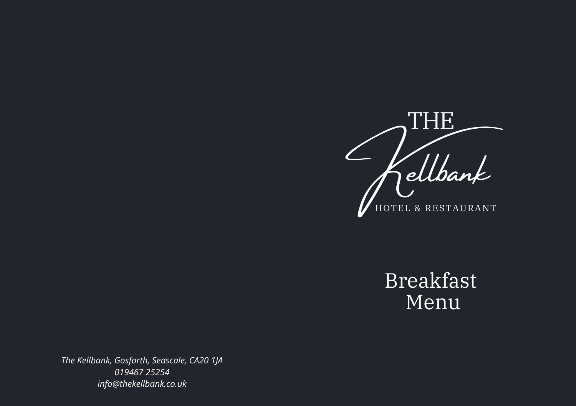

Breakfast Menu

*The Kellbank, Gosforth, Seascale, CA20 1JA 019467 25254 info@thekellbank.co.uk*